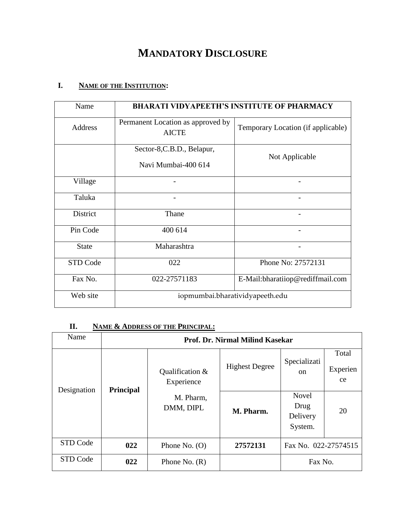# **MANDATORY DISCLOSURE**

## **I. NAME OF THE INSTITUTION:**

| Name           | <b>BHARATI VIDYAPEETH'S INSTITUTE OF PHARMACY</b> |                                    |  |
|----------------|---------------------------------------------------|------------------------------------|--|
| <b>Address</b> | Permanent Location as approved by<br><b>AICTE</b> | Temporary Location (if applicable) |  |
|                | Sector-8, C.B.D., Belapur,<br>Navi Mumbai-400 614 | Not Applicable                     |  |
| Village        |                                                   |                                    |  |
| Taluka         |                                                   |                                    |  |
| District       | Thane                                             |                                    |  |
| Pin Code       | 400 614                                           |                                    |  |
| <b>State</b>   | Maharashtra                                       |                                    |  |
| STD Code       | 022                                               | Phone No: 27572131                 |  |
| Fax No.        | 022-27571183                                      | E-Mail:bharatiiop@rediffmail.com   |  |
| Web site       | iopmumbai.bharatividyapeeth.edu                   |                                    |  |

## **II. NAME & ADDRESS OF THE PRINCIPAL:**

| Name        | Prof. Dr. Nirmal Milind Kasekar |                               |                       |                                             |                         |
|-------------|---------------------------------|-------------------------------|-----------------------|---------------------------------------------|-------------------------|
| Designation |                                 | Qualification &<br>Experience | <b>Highest Degree</b> | Specializati<br><sub>on</sub>               | Total<br>Experien<br>ce |
|             | <b>Principal</b>                | M. Pharm,<br>DMM, DIPL        | M. Pharm.             | <b>Novel</b><br>Drug<br>Delivery<br>System. | 20                      |
| STD Code    | 022                             | Phone No. $(O)$               | 27572131              | Fax No. 022-27574515                        |                         |
| STD Code    | 022                             | Phone No. $(R)$               |                       | Fax No.                                     |                         |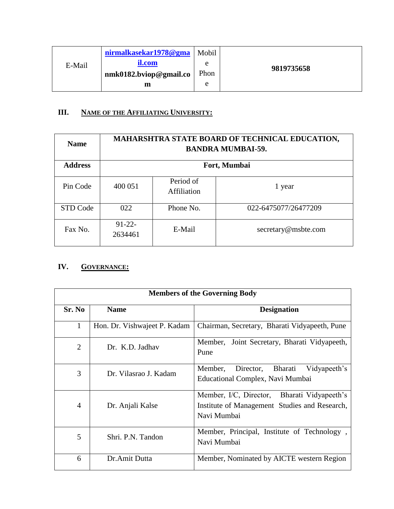|        | nirmalkasekar1978@gma  | Mobil |            |
|--------|------------------------|-------|------------|
| E-Mail | il.com                 | e     | 9819735658 |
|        | nmk0182.bviop@gmail.co | Phon  |            |
|        | m                      | e     |            |

### **III. NAME OF THE AFFILIATING UNIVERSITY:**

| <b>Name</b>    | MAHARSHTRA STATE BOARD OF TECHNICAL EDUCATION,<br><b>BANDRA MUMBAI-59.</b> |                          |                      |  |  |
|----------------|----------------------------------------------------------------------------|--------------------------|----------------------|--|--|
| <b>Address</b> |                                                                            | Fort, Mumbai             |                      |  |  |
| Pin Code       | 400 051                                                                    | Period of<br>Affiliation | 1 year               |  |  |
| STD Code       | 022                                                                        | Phone No.                | 022-6475077/26477209 |  |  |
| Fax No.        | $91 - 22 -$<br>2634461                                                     | E-Mail                   | secretary@msbte.com  |  |  |

### **IV. GOVERNANCE:**

|                | <b>Members of the Governing Body</b> |                                                                                                             |  |  |  |  |
|----------------|--------------------------------------|-------------------------------------------------------------------------------------------------------------|--|--|--|--|
| Sr. No         | <b>Name</b>                          | <b>Designation</b>                                                                                          |  |  |  |  |
| 1              | Hon. Dr. Vishwajeet P. Kadam         | Chairman, Secretary, Bharati Vidyapeeth, Pune                                                               |  |  |  |  |
| $\overline{2}$ | Dr. K.D. Jadhav                      | Member, Joint Secretary, Bharati Vidyapeeth,<br>Pune                                                        |  |  |  |  |
| 3              | Dr. Vilasrao J. Kadam                | Bharati<br>Director,<br>Vidyapeeth's<br>Member,<br>Educational Complex, Navi Mumbai                         |  |  |  |  |
| $\overline{4}$ | Dr. Anjali Kalse                     | Member, I/C, Director, Bharati Vidyapeeth's<br>Institute of Management Studies and Research,<br>Navi Mumbai |  |  |  |  |
| 5              | Shri, P.N. Tandon                    | Member, Principal, Institute of Technology,<br>Navi Mumbai                                                  |  |  |  |  |
| 6              | Dr.Amit Dutta                        | Member, Nominated by AICTE western Region                                                                   |  |  |  |  |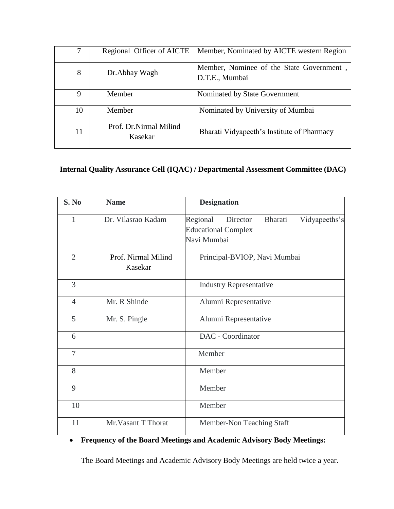|    | Regional Officer of AICTE          | Member, Nominated by AICTE western Region                  |
|----|------------------------------------|------------------------------------------------------------|
| 8  | Dr. Abhay Wagh                     | Member, Nominee of the State Government,<br>D.T.E., Mumbai |
| 9  | Member                             | Nominated by State Government                              |
| 10 | Member                             | Nominated by University of Mumbai                          |
| 11 | Prof. Dr. Nirmal Milind<br>Kasekar | Bharati Vidyapeeth's Institute of Pharmacy                 |

### **Internal Quality Assurance Cell (IQAC) / Departmental Assessment Committee (DAC)**

| S. No          | <b>Name</b>                    | <b>Designation</b>                                                                            |  |  |
|----------------|--------------------------------|-----------------------------------------------------------------------------------------------|--|--|
| $\mathbf{1}$   | Dr. Vilasrao Kadam             | Regional<br>Bharati<br>Vidyapeeths's<br>Director<br><b>Educational Complex</b><br>Navi Mumbai |  |  |
| $\overline{2}$ | Prof. Nirmal Milind<br>Kasekar | Principal-BVIOP, Navi Mumbai                                                                  |  |  |
| 3              |                                | <b>Industry Representative</b>                                                                |  |  |
| $\overline{4}$ | Mr. R Shinde                   | Alumni Representative                                                                         |  |  |
| 5              | Mr. S. Pingle                  | Alumni Representative                                                                         |  |  |
| 6              |                                | DAC - Coordinator                                                                             |  |  |
| 7              |                                | Member                                                                                        |  |  |
| 8              |                                | Member                                                                                        |  |  |
| 9              |                                | Member                                                                                        |  |  |
| 10             |                                | Member                                                                                        |  |  |
| 11             | Mr. Vasant T Thorat            | Member-Non Teaching Staff                                                                     |  |  |

## **Frequency of the Board Meetings and Academic Advisory Body Meetings:**

The Board Meetings and Academic Advisory Body Meetings are held twice a year.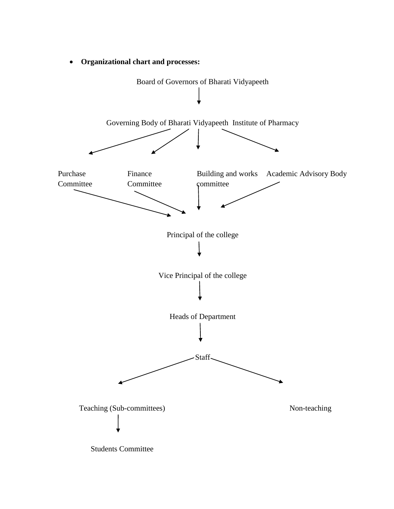

**Organizational chart and processes:**

Students Committee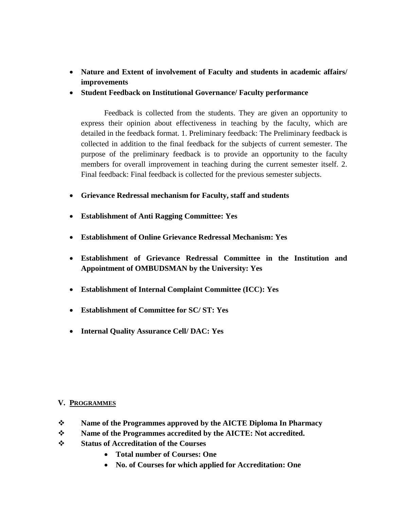- **Nature and Extent of involvement of Faculty and students in academic affairs/ improvements**
- **Student Feedback on Institutional Governance/ Faculty performance**

Feedback is collected from the students. They are given an opportunity to express their opinion about effectiveness in teaching by the faculty, which are detailed in the feedback format. 1. Preliminary feedback: The Preliminary feedback is collected in addition to the final feedback for the subjects of current semester. The purpose of the preliminary feedback is to provide an opportunity to the faculty members for overall improvement in teaching during the current semester itself. 2. Final feedback: Final feedback is collected for the previous semester subjects.

- **Grievance Redressal mechanism for Faculty, staff and students**
- **Establishment of Anti Ragging Committee: Yes**
- **Establishment of Online Grievance Redressal Mechanism: Yes**
- **Establishment of Grievance Redressal Committee in the Institution and Appointment of OMBUDSMAN by the University: Yes**
- **Establishment of Internal Complaint Committee (ICC): Yes**
- **Establishment of Committee for SC/ ST: Yes**
- **Internal Quality Assurance Cell/ DAC: Yes**

#### **V. PROGRAMMES**

- **Name of the Programmes approved by the AICTE Diploma In Pharmacy**
- **Name of the Programmes accredited by the AICTE: Not accredited.**
- **Status of Accreditation of the Courses**
	- **Total number of Courses: One**
	- **No. of Courses for which applied for Accreditation: One**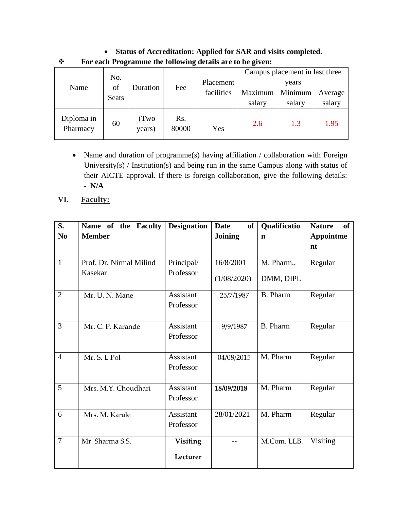| I've cach I rogramme the ronowing actams are to be given. |              |                |                   |                   |                   |                                         |      |
|-----------------------------------------------------------|--------------|----------------|-------------------|-------------------|-------------------|-----------------------------------------|------|
| Name                                                      | No.<br>of    | Duration       | Fee               | Placement         |                   | Campus placement in last three<br>years |      |
|                                                           | <b>Seats</b> | facilities     | Maximum<br>salary | Minimum<br>salary | Average<br>salary |                                         |      |
| Diploma in<br>Pharmacy                                    | 60           | (Two<br>years) | Rs.<br>80000      | Yes               | 2.6               | 1.3                                     | 1.95 |

 **Status of Accreditation: Applied for SAR and visits completed. For each Programme the following details are to be given:** 

- Name and duration of programme(s) having affiliation / collaboration with Foreign University(s) / Institution(s) and being run in the same Campus along with status of their AICTE approval. If there is foreign collaboration, give the following details: **- N/A**
- **VI. Faculty:**

| S.             | Name of the Faculty                | <b>Designation</b>            | <b>of</b><br><b>Date</b> | Qualificatio            | <b>Nature</b><br>of    |
|----------------|------------------------------------|-------------------------------|--------------------------|-------------------------|------------------------|
| N <sub>0</sub> | <b>Member</b>                      |                               | <b>Joining</b>           | $\mathbf n$             | <b>Appointme</b><br>nt |
| $\mathbf{1}$   | Prof. Dr. Nirmal Milind<br>Kasekar | Principal/<br>Professor       | 16/8/2001<br>(1/08/2020) | M. Pharm.,<br>DMM, DIPL | Regular                |
| $\overline{2}$ | Mr. U. N. Mane                     | <b>Assistant</b><br>Professor | 25/7/1987                | <b>B.</b> Pharm         | Regular                |
| 3              | Mr. C. P. Karande                  | Assistant<br>Professor        | 9/9/1987                 | <b>B.</b> Pharm         | Regular                |
| $\overline{4}$ | Mr. S. L Pol                       | Assistant<br>Professor        | 04/08/2015               | M. Pharm                | Regular                |
| 5              | Mrs. M.Y. Choudhari                | <b>Assistant</b><br>Professor | 18/09/2018               | M. Pharm                | Regular                |
| 6              | Mrs. M. Karale                     | Assistant<br>Professor        | 28/01/2021               | M. Pharm                | Regular                |
| $\overline{7}$ | Mr. Sharma S.S.                    | Visiting<br>Lecturer          |                          | M.Com. LLB.             | Visiting               |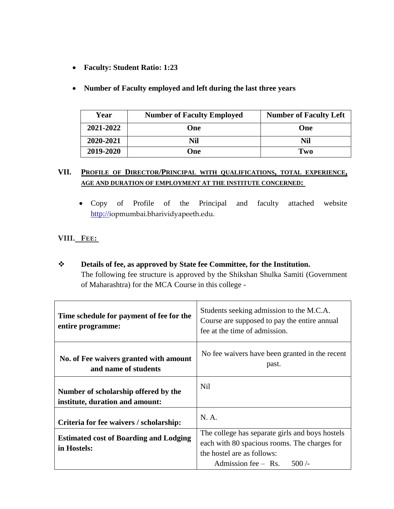- **Faculty: Student Ratio: 1:23**
- **Number of Faculty employed and left during the last three years**

| Year      | <b>Number of Faculty Employed</b> | <b>Number of Faculty Left</b> |
|-----------|-----------------------------------|-------------------------------|
| 2021-2022 | One                               | One                           |
| 2020-2021 | Nil                               | Nil                           |
| 2019-2020 | One)                              | Two                           |

### **VII. PROFILE OF DIRECTOR/PRINCIPAL WITH QUALIFICATIONS, TOTAL EXPERIENCE, AGE AND DURATION OF EMPLOYMENT AT THE INSTITUTE CONCERNED:**

 Copy of Profile of the Principal and faculty attached website http://iopmumbai.bharividyapeeth.edu.

### **VIII. FEE:**

 **Details of fee, as approved by State fee Committee, for the Institution.** The following fee structure is approved by the Shikshan Shulka Samiti (Government of Maharashtra) for the MCA Course in this college -

| Time schedule for payment of fee for the<br>entire programme:           | Students seeking admission to the M.C.A.<br>Course are supposed to pay the entire annual<br>fee at the time of admission.                                    |
|-------------------------------------------------------------------------|--------------------------------------------------------------------------------------------------------------------------------------------------------------|
| No. of Fee waivers granted with amount<br>and name of students          | No fee waivers have been granted in the recent<br>past.                                                                                                      |
| Number of scholarship offered by the<br>institute, duration and amount: | <b>Nil</b>                                                                                                                                                   |
| Criteria for fee waivers / scholarship:                                 | N. A.                                                                                                                                                        |
| <b>Estimated cost of Boarding and Lodging</b><br>in Hostels:            | The college has separate girls and boys hostels<br>each with 80 spacious rooms. The charges for<br>the hostel are as follows:<br>Admission fee - Rs. $500/-$ |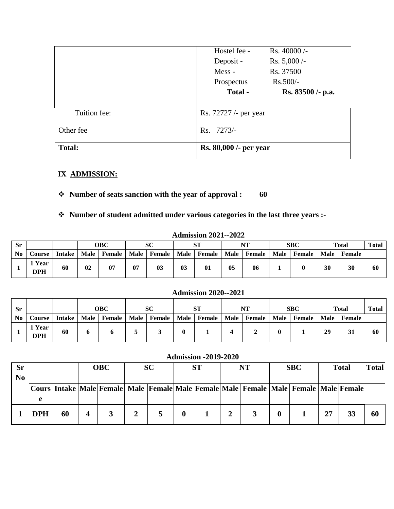|               | Hostel fee -           | $Rs.40000/-$      |
|---------------|------------------------|-------------------|
|               | Deposit -              | $Rs. 5,000/-$     |
|               | Mess-                  | Rs. 37500         |
|               | Prospectus             | $Rs.500/-$        |
|               | Total -                | Rs. 83500 /- p.a. |
|               |                        |                   |
| Tuition fee:  | Rs. 72727 /- per year  |                   |
| Other fee     | Rs. 7273/-             |                   |
| <b>Total:</b> | Rs. 80,000 /- per year |                   |

### **IX ADMISSION:**

## **Number of seats sanction with the year of approval : 60**

### **Number of student admitted under various categories in the last three years :-**

|           |                      |               |             |        |             |                |        | ************************ |      |        |        |            |      |              |              |
|-----------|----------------------|---------------|-------------|--------|-------------|----------------|--------|--------------------------|------|--------|--------|------------|------|--------------|--------------|
| <b>Sr</b> |                      |               |             | OBC    |             | SC             |        | апт                      |      | NT     |        | <b>SBC</b> |      | <b>Total</b> | <b>Total</b> |
| No        | Course               | <b>Intake</b> | <b>Male</b> | Female | <b>Male</b> | Female         | Male 1 | Female                   | Male | Female | Male 1 | Female     | Male | Female       |              |
|           | 1 Year<br><b>DPH</b> | 60            | 02          | 07     | 07          | 0 <sup>3</sup> | 03     | 01                       | 05   | 06     |        |            | 30   | 30           | 60           |

#### **Admission 2021--2022**

#### **Admission 2020--2021**

| <b>Sr</b> |                           |               | OBC         |               | SС          |        | <b>ST</b> |        | NT   |        | <b>SBC</b> |               | Total | <b>Total</b> |     |
|-----------|---------------------------|---------------|-------------|---------------|-------------|--------|-----------|--------|------|--------|------------|---------------|-------|--------------|-----|
| $\bf{No}$ | Course                    | <b>Intake</b> | <b>Male</b> | <b>Female</b> | <b>Male</b> | Female | Male      | Female | Male | Female | Male       | <b>Female</b> | Male  | Female       |     |
|           | <b>Year</b><br><b>DPH</b> | 60            | o           |               |             |        |           |        |      |        |            |               | 29    | 31           | -60 |

#### **Admission -2019-2020**

| $S_{r}$        |            |    | <b>OBC</b> |  | <b>SC</b> |  | <b>ST</b>        |  | NT |  | <b>SBC</b> |                                                                                                                | <b>Total</b> |    | <b>Total</b> |
|----------------|------------|----|------------|--|-----------|--|------------------|--|----|--|------------|----------------------------------------------------------------------------------------------------------------|--------------|----|--------------|
| N <sub>0</sub> |            |    |            |  |           |  |                  |  |    |  |            |                                                                                                                |              |    |              |
|                |            |    |            |  |           |  |                  |  |    |  |            | Cours   Intake   Male   Female   Male   Female   Male   Female   Male   Female   Male   Male   Female   Female |              |    |              |
|                |            |    |            |  |           |  |                  |  |    |  |            |                                                                                                                |              |    |              |
|                | <b>DPH</b> | 60 |            |  |           |  | $\boldsymbol{0}$ |  |    |  |            |                                                                                                                | 27           | 33 | 60           |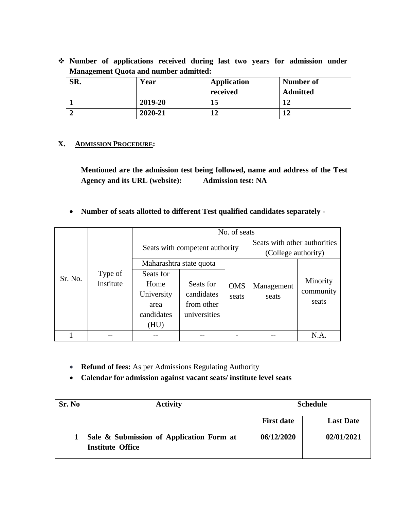**Number of applications received during last two years for admission under Management Quota and number admitted:**

| SR. | Year    | Application | Number of       |
|-----|---------|-------------|-----------------|
|     |         | received    | <b>Admitted</b> |
|     | 2019-20 | 15          | 11              |
|     | 2020-21 | 12          | 12              |

### **X. ADMISSION PROCEDURE:**

**Mentioned are the admission test being followed, name and address of the Test Agency and its URL (website): Admission test: NA**

**Number of seats allotted to different Test qualified candidates separately** -

|         |                      | No. of seats            |                                |                     |                              |           |  |  |  |  |  |
|---------|----------------------|-------------------------|--------------------------------|---------------------|------------------------------|-----------|--|--|--|--|--|
|         |                      |                         |                                |                     | Seats with other authorities |           |  |  |  |  |  |
|         |                      |                         | Seats with competent authority | (College authority) |                              |           |  |  |  |  |  |
|         |                      | Maharashtra state quota |                                |                     |                              |           |  |  |  |  |  |
| Sr. No. | Type of<br>Institute | Seats for               |                                |                     |                              |           |  |  |  |  |  |
|         |                      | Home                    | Seats for                      | <b>OMS</b>          | Management                   | Minority  |  |  |  |  |  |
|         |                      | University              | candidates                     | seats               | seats                        | community |  |  |  |  |  |
|         |                      | area                    | from other                     |                     |                              | seats     |  |  |  |  |  |
|         |                      | candidates              | universities                   |                     |                              |           |  |  |  |  |  |
|         |                      | (HU)                    |                                |                     |                              |           |  |  |  |  |  |
|         |                      |                         |                                |                     |                              | N.A.      |  |  |  |  |  |

- **Refund of fees:** As per Admissions Regulating Authority
- **Calendar for admission against vacant seats/ institute level seats**

| Sr. No | <b>Activity</b>                                                     | <b>Schedule</b>   |                  |  |  |
|--------|---------------------------------------------------------------------|-------------------|------------------|--|--|
|        |                                                                     | <b>First date</b> | <b>Last Date</b> |  |  |
|        | Sale & Submission of Application Form at<br><b>Institute Office</b> | 06/12/2020        | 02/01/2021       |  |  |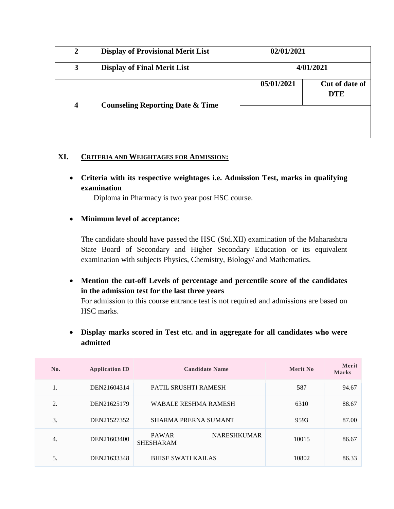| 2                       | <b>Display of Provisional Merit List</b>    | 02/01/2021 |                              |
|-------------------------|---------------------------------------------|------------|------------------------------|
| 3                       | <b>Display of Final Merit List</b>          |            | 4/01/2021                    |
| $\overline{\mathbf{4}}$ | <b>Counseling Reporting Date &amp; Time</b> | 05/01/2021 | Cut of date of<br><b>DTE</b> |

#### **XI. CRITERIA AND WEIGHTAGES FOR ADMISSION:**

 **Criteria with its respective weightages i.e. Admission Test, marks in qualifying examination**

Diploma in Pharmacy is two year post HSC course.

#### **Minimum level of acceptance:**

The candidate should have passed the HSC (Std.XII) examination of the Maharashtra State Board of Secondary and Higher Secondary Education or its equivalent examination with subjects Physics, Chemistry, Biology/ and Mathematics.

 **Mention the cut-off Levels of percentage and percentile score of the candidates in the admission test for the last three years**

For admission to this course entrance test is not required and admissions are based on HSC marks.

 **Display marks scored in Test etc. and in aggregate for all candidates who were admitted**

| No. | <b>Application ID</b> | <b>Candidate Name</b>                                  | Merit No | Merit<br><b>Marks</b> |
|-----|-----------------------|--------------------------------------------------------|----------|-----------------------|
| 1.  | DEN21604314           | PATIL SRUSHTI RAMESH                                   | 587      | 94.67                 |
| 2.  | DEN21625179           | <b>WABALE RESHMA RAMESH</b>                            | 6310     | 88.67                 |
| 3.  | DEN21527352           | <b>SHARMA PRERNA SUMANT</b>                            | 9593     | 87.00                 |
| 4.  | DEN21603400           | <b>NARESHKUMAR</b><br><b>PAWAR</b><br><b>SHESHARAM</b> | 10015    | 86.67                 |
| 5.  | DEN21633348           | <b>BHISE SWATI KAILAS</b>                              | 10802    | 86.33                 |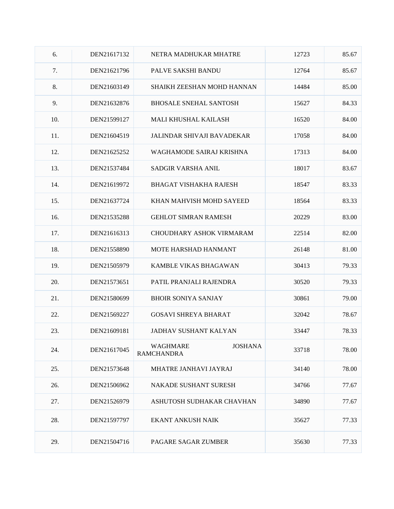| 6.  | DEN21617132 | NETRA MADHUKAR MHATRE                           | 12723 | 85.67 |
|-----|-------------|-------------------------------------------------|-------|-------|
| 7.  | DEN21621796 | <b>PALVE SAKSHI BANDU</b>                       | 12764 | 85.67 |
| 8.  | DEN21603149 | SHAIKH ZEESHAN MOHD HANNAN                      | 14484 | 85.00 |
| 9.  | DEN21632876 | <b>BHOSALE SNEHAL SANTOSH</b>                   | 15627 | 84.33 |
| 10. | DEN21599127 | MALI KHUSHAL KAILASH                            | 16520 | 84.00 |
| 11. | DEN21604519 | <b>JALINDAR SHIVAJI BAVADEKAR</b>               | 17058 | 84.00 |
| 12. | DEN21625252 | WAGHAMODE SAIRAJ KRISHNA                        | 17313 | 84.00 |
| 13. | DEN21537484 | <b>SADGIR VARSHA ANIL</b>                       | 18017 | 83.67 |
| 14. | DEN21619972 | <b>BHAGAT VISHAKHA RAJESH</b>                   | 18547 | 83.33 |
| 15. | DEN21637724 | KHAN MAHVISH MOHD SAYEED                        | 18564 | 83.33 |
| 16. | DEN21535288 | <b>GEHLOT SIMRAN RAMESH</b>                     | 20229 | 83.00 |
| 17. | DEN21616313 | <b>CHOUDHARY ASHOK VIRMARAM</b>                 | 22514 | 82.00 |
| 18. | DEN21558890 | MOTE HARSHAD HANMANT                            | 26148 | 81.00 |
| 19. | DEN21505979 | KAMBLE VIKAS BHAGAWAN                           | 30413 | 79.33 |
| 20. | DEN21573651 | PATIL PRANJALI RAJENDRA                         | 30520 | 79.33 |
| 21. | DEN21580699 | <b>BHOIR SONIYA SANJAY</b>                      | 30861 | 79.00 |
| 22. | DEN21569227 | <b>GOSAVI SHREYA BHARAT</b>                     | 32042 | 78.67 |
| 23. | DEN21609181 | <b>JADHAV SUSHANT KALYAN</b>                    | 33447 | 78.33 |
| 24. | DEN21617045 | WAGHMARE<br><b>JOSHANA</b><br><b>RAMCHANDRA</b> | 33718 | 78.00 |
| 25. | DEN21573648 | MHATRE JANHAVI JAYRAJ                           | 34140 | 78.00 |
| 26. | DEN21506962 | <b>NAKADE SUSHANT SURESH</b>                    | 34766 | 77.67 |
| 27. | DEN21526979 | ASHUTOSH SUDHAKAR CHAVHAN                       | 34890 | 77.67 |
| 28. | DEN21597797 | <b>EKANT ANKUSH NAIK</b>                        | 35627 | 77.33 |
| 29. | DEN21504716 | PAGARE SAGAR ZUMBER                             | 35630 | 77.33 |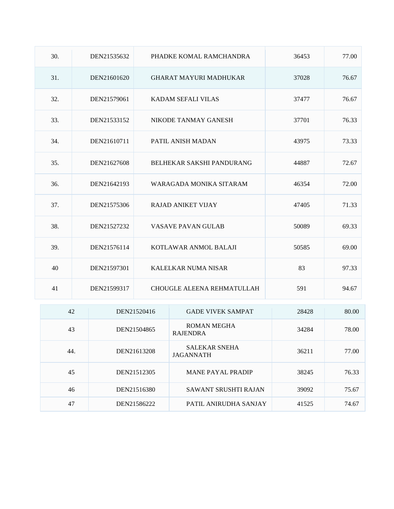| 30. | DEN21535632 | PHADKE KOMAL RAMCHANDRA       | 36453 | 77.00 |
|-----|-------------|-------------------------------|-------|-------|
| 31. | DEN21601620 | <b>GHARAT MAYURI MADHUKAR</b> | 37028 | 76.67 |
| 32. | DEN21579061 | KADAM SEFALI VILAS            | 37477 | 76.67 |
| 33. | DEN21533152 | NIKODE TANMAY GANESH          | 37701 | 76.33 |
| 34. | DEN21610711 | PATIL ANISH MADAN             | 43975 | 73.33 |
| 35. | DEN21627608 | BELHEKAR SAKSHI PANDURANG     | 44887 | 72.67 |
| 36. | DEN21642193 | WARAGADA MONIKA SITARAM       | 46354 | 72.00 |
| 37. | DEN21575306 | <b>RAJAD ANIKET VIJAY</b>     | 47405 | 71.33 |
| 38. | DEN21527232 | <b>VASAVE PAVAN GULAB</b>     | 50089 | 69.33 |
| 39. | DEN21576114 | KOTLAWAR ANMOL BALAJI         | 50585 | 69.00 |
| 40  | DEN21597301 | KALELKAR NUMA NISAR           | 83    | 97.33 |
| 41  | DEN21599317 | CHOUGLE ALEENA REHMATULLAH    | 591   | 94.67 |

| 42  | DEN21520416 | <b>GADE VIVEK SAMPAT</b>                 | 28428 | 80.00 |
|-----|-------------|------------------------------------------|-------|-------|
| 43  | DEN21504865 | ROMAN MEGHA<br><b>RAJENDRA</b>           | 34284 | 78.00 |
| 44. | DEN21613208 | <b>SALEKAR SNEHA</b><br><b>JAGANNATH</b> | 36211 | 77.00 |
| 45  | DEN21512305 | <b>MANE PAYAL PRADIP</b>                 | 38245 | 76.33 |
| 46  | DEN21516380 | <b>SAWANT SRUSHTI RAJAN</b>              | 39092 | 75.67 |
| 47  | DEN21586222 | PATIL ANIRUDHA SANJAY                    | 41525 | 74.67 |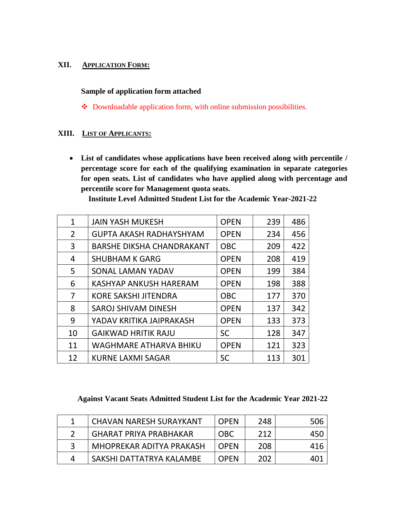#### **XII. APPLICATION FORM:**

#### **Sample of application form attached**

• Downloadable application form, with online submission possibilities.

#### **XIII. LIST OF APPLICANTS:**

 **List of candidates whose applications have been received along with percentile / percentage score for each of the qualifying examination in separate categories for open seats. List of candidates who have applied along with percentage and percentile score for Management quota seats.**

| Institute Level Admitted Student List for the Academic Year-2021-22 |  |  |
|---------------------------------------------------------------------|--|--|
|---------------------------------------------------------------------|--|--|

| $\mathbf{1}$   | <b>JAIN YASH MUKESH</b>          | <b>OPEN</b> | 239 | 486 |
|----------------|----------------------------------|-------------|-----|-----|
| $\overline{2}$ | <b>GUPTA AKASH RADHAYSHYAM</b>   | <b>OPEN</b> | 234 | 456 |
| 3              | <b>BARSHE DIKSHA CHANDRAKANT</b> | <b>OBC</b>  | 209 | 422 |
| 4              | <b>SHUBHAM K GARG</b>            | <b>OPEN</b> | 208 | 419 |
| 5              | SONAL LAMAN YADAV                | <b>OPEN</b> | 199 | 384 |
| 6              | KASHYAP ANKUSH HARERAM           | <b>OPEN</b> | 198 | 388 |
| 7              | <b>KORE SAKSHI JITENDRA</b>      | <b>OBC</b>  | 177 | 370 |
| 8              | SAROJ SHIVAM DINESH              | <b>OPEN</b> | 137 | 342 |
| 9              | YADAV KRITIKA JAIPRAKASH         | <b>OPEN</b> | 133 | 373 |
| 10             | <b>GAIKWAD HRITIK RAJU</b>       | <b>SC</b>   | 128 | 347 |
| 11             | <b>WAGHMARE ATHARVA BHIKU</b>    | <b>OPEN</b> | 121 | 323 |
| 12             | <b>KURNE LAXMI SAGAR</b>         | <b>SC</b>   | 113 | 301 |

### **Against Vacant Seats Admitted Student List for the Academic Year 2021-22**

| <b>CHAVAN NARESH SURAYKANT</b> | <b>OPEN</b> | 248 | 506 |
|--------------------------------|-------------|-----|-----|
| <b>GHARAT PRIYA PRABHAKAR</b>  | <b>OBC</b>  | 212 | 450 |
| MHOPREKAR ADITYA PRAKASH       | <b>OPFN</b> | 208 | 416 |
| SAKSHI DATTATRYA KALAMBE       | <b>OPEN</b> | 202 | 401 |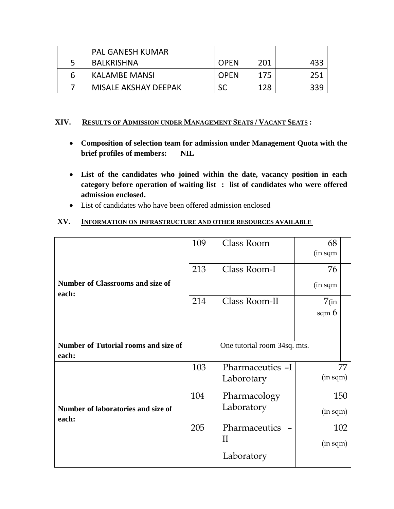|   | <b>PAL GANESH KUMAR</b> |             |     |      |
|---|-------------------------|-------------|-----|------|
|   | BALKRISHNA              | <b>OPEN</b> | 201 | 433  |
| 6 | KALAMBE MANSI           | <b>OPEN</b> | 175 | -251 |
|   | MISALE AKSHAY DEEPAK    | SC          | 128 | 339  |

#### **XIV. RESULTS OF ADMISSION UNDER MANAGEMENT SEATS / VACANT SEATS :**

- **Composition of selection team for admission under Management Quota with the brief profiles of members: NIL**
- **List of the candidates who joined within the date, vacancy position in each category before operation of waiting list : list of candidates who were offered admission enclosed.**
- List of candidates who have been offered admission enclosed

#### **XV. INFORMATION ON INFRASTRUCTURE AND OTHER RESOURCES AVAILABLE**

|                                                  | 109        | Class Room                   | 68<br>(in sqm |
|--------------------------------------------------|------------|------------------------------|---------------|
|                                                  | 213        | Class Room-I                 | 76            |
| <b>Number of Classrooms and size of</b><br>each: |            |                              | (in sqm       |
|                                                  | 214        | Class Room-II                | $7$ (in       |
|                                                  |            |                              | sqm $6$       |
|                                                  |            |                              |               |
| <b>Number of Tutorial rooms and size of</b>      |            | One tutorial room 34sq. mts. |               |
| each:                                            |            |                              |               |
|                                                  | 103        | Pharmaceutics -I             | 77            |
|                                                  | Laborotary |                              | (in sqm)      |
|                                                  | 104        | Pharmacology                 | 150           |
| Number of laboratories and size of<br>each:      |            | Laboratory                   | (in sqm)      |
|                                                  | 205        | Pharmaceutics                | 102           |
|                                                  |            | $\rm II$                     | (in sqm)      |
|                                                  |            | Laboratory                   |               |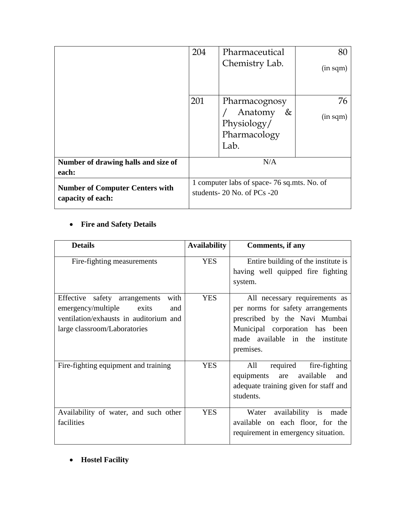|                                                             | 204                                                                           | Pharmaceutical              | 80       |
|-------------------------------------------------------------|-------------------------------------------------------------------------------|-----------------------------|----------|
|                                                             |                                                                               | Chemistry Lab.              | (in sqm) |
|                                                             |                                                                               |                             |          |
|                                                             | 201                                                                           | Pharmacognosy               | 76       |
|                                                             |                                                                               | Anatomy<br>&<br>Physiology/ | (in sqm) |
|                                                             |                                                                               | Pharmacology<br>Lab.        |          |
| Number of drawing halls and size of<br>each:                |                                                                               | N/A                         |          |
| <b>Number of Computer Centers with</b><br>capacity of each: | 1 computer labs of space-76 sq.mts. No. of<br>students- $20$ No. of PCs $-20$ |                             |          |

## **Fire and Safety Details**

| <b>Details</b>                                                                                                                                        | <b>Availability</b> | Comments, if any                                                                                                                                                                      |
|-------------------------------------------------------------------------------------------------------------------------------------------------------|---------------------|---------------------------------------------------------------------------------------------------------------------------------------------------------------------------------------|
| Fire-fighting measurements                                                                                                                            | <b>YES</b>          | Entire building of the institute is<br>having well quipped fire fighting<br>system.                                                                                                   |
| with<br>Effective safety arrangements<br>emergency/multiple<br>exits<br>and<br>ventilation/exhausts in auditorium and<br>large classroom/Laboratories | <b>YES</b>          | All necessary requirements as<br>per norms for safety arrangements<br>prescribed by the Navi Mumbai<br>Municipal corporation has been<br>made available in the institute<br>premises. |
| Fire-fighting equipment and training                                                                                                                  | <b>YES</b>          | required<br>fire-fighting<br>All<br>equipments<br>available<br>are<br>and<br>adequate training given for staff and<br>students.                                                       |
| Availability of water, and such other<br>facilities                                                                                                   | <b>YES</b>          | availability is<br>Water<br>made<br>available on each floor, for the<br>requirement in emergency situation.                                                                           |

**Hostel Facility**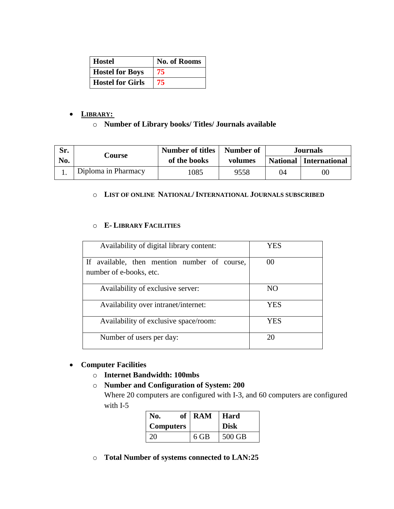| <b>Hostel</b>           | <b>No. of Rooms</b> |
|-------------------------|---------------------|
| <b>Hostel for Boys</b>  | 75                  |
| <b>Hostel for Girls</b> | 75                  |

#### **LIBRARY:**

#### o **Number of Library books/ Titles/ Journals available**

| Sr. | Course              | <b>Number of titles</b> | Number of |    | <b>Journals</b>                 |
|-----|---------------------|-------------------------|-----------|----|---------------------------------|
| No. |                     | of the books            | volumes   |    | <b>National</b>   International |
|     | Diploma in Pharmacy | 1085                    | 9558      | 04 | $00\,$                          |

#### o **LIST OF ONLINE NATIONAL/ INTERNATIONAL JOURNALS SUBSCRIBED**

#### o **E- LIBRARY FACILITIES**

| Availability of digital library content:     | YES             |
|----------------------------------------------|-----------------|
| If available, then mention number of course, | 00              |
| number of e-books, etc.                      |                 |
| Availability of exclusive server:            | NO <sub>1</sub> |
| Availability over intranet/internet:         | <b>YES</b>      |
| Availability of exclusive space/room:        | YES             |
| Number of users per day:                     | 20              |

### **Computer Facilities**

- o **Internet Bandwidth: 100mbs**
- o **Number and Configuration of System: 200**

Where 20 computers are configured with I-3, and 60 computers are configured with I-5

| No.              | of   RAM | Hard        |
|------------------|----------|-------------|
| <b>Computers</b> |          | <b>Disk</b> |
| 20               | 6 GB     | 500 GB      |

o **Total Number of systems connected to LAN:25**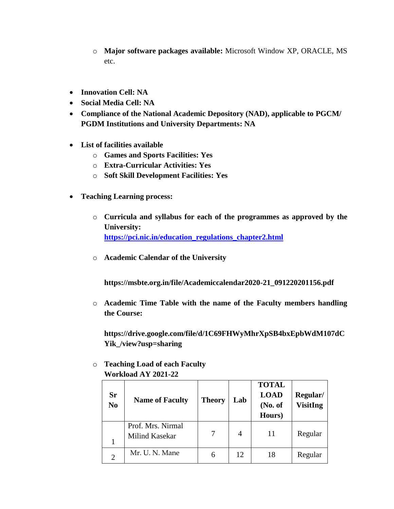- o **Major software packages available:** Microsoft Window XP, ORACLE, MS etc.
- **Innovation Cell: NA**
- **Social Media Cell: NA**
- **Compliance of the National Academic Depository (NAD), applicable to PGCM/ PGDM Institutions and University Departments: NA**
- **List of facilities available**
	- o **Games and Sports Facilities: Yes**
	- o **Extra-Curricular Activities: Yes**
	- o **Soft Skill Development Facilities: Yes**
- **Teaching Learning process:**
	- o **Curricula and syllabus for each of the programmes as approved by the University: [https://pci.nic.in/education\\_regulations\\_chapter2.html](https://pci.nic.in/education_regulations_chapter2.html)**
	- o **Academic Calendar of the University**

**https://msbte.org.in/file/Academiccalendar2020-21\_091220201156.pdf**

o **Academic Time Table with the name of the Faculty members handling the Course:**

**https://drive.google.com/file/d/1C69FHWyMhrXpSB4bxEpbWdM107dC Yik\_/view?usp=sharing**

| $\bf{W}$ vi nivau $\bf{A1}$ 2021-22 |                                     |               |     |                                                  |                             |  |
|-------------------------------------|-------------------------------------|---------------|-----|--------------------------------------------------|-----------------------------|--|
| Sr<br>N <sub>0</sub>                | <b>Name of Faculty</b>              | <b>Theory</b> | Lab | <b>TOTAL</b><br><b>LOAD</b><br>(No. of<br>Hours) | Regular/<br><b>VisitIng</b> |  |
|                                     | Prof. Mrs. Nirmal<br>Milind Kasekar |               | 4   | 11                                               | Regular                     |  |
| $\overline{2}$                      | Mr. U. N. Mane                      | 6             | 12  | 18                                               | Regular                     |  |

o **Teaching Load of each Faculty Workload AY 2021-22**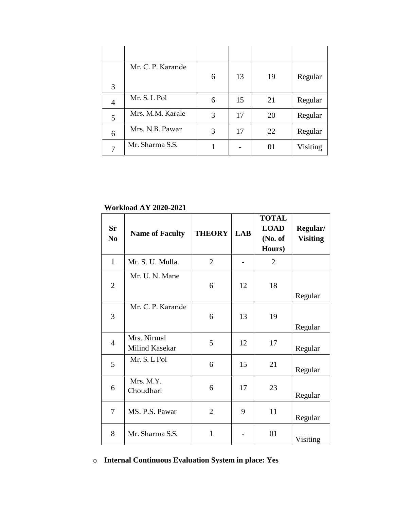| 3 | Mr. C. P. Karande | 6 | 13 | 19 | Regular  |
|---|-------------------|---|----|----|----------|
| 4 | Mr. S. L Pol      | 6 | 15 | 21 | Regular  |
| 5 | Mrs. M.M. Karale  | 3 | 17 | 20 | Regular  |
| 6 | Mrs. N.B. Pawar   | 3 | 17 | 22 | Regular  |
| 7 | Mr. Sharma S.S.   |   |    | 01 | Visiting |

**Workload AY 2020-2021**

| <b>Sr</b><br>N <sub>0</sub> | <b>Name of Faculty</b>        | <b>THEORY</b>  | <b>LAB</b> | <b>TOTAL</b><br><b>LOAD</b><br>(No. of<br>Hours) | Regular/<br><b>Visiting</b> |
|-----------------------------|-------------------------------|----------------|------------|--------------------------------------------------|-----------------------------|
| $\mathbf{1}$                | Mr. S. U. Mulla.              | $\overline{2}$ |            | $\overline{2}$                                   |                             |
| $\overline{2}$              | Mr. U. N. Mane                | 6              | 12         | 18                                               | Regular                     |
| 3                           | Mr. C. P. Karande             | 6              | 13         | 19                                               | Regular                     |
| 4                           | Mrs. Nirmal<br>Milind Kasekar | 5              | 12         | 17                                               | Regular                     |
| 5                           | Mr. S. L Pol                  | 6              | 15         | 21                                               | Regular                     |
| 6                           | Mrs. M.Y.<br>Choudhari        | 6              | 17         | 23                                               | Regular                     |
| 7                           | MS. P.S. Pawar                | $\overline{2}$ | 9          | 11                                               | Regular                     |
| 8                           | Mr. Sharma S.S.               | 1              |            | 01                                               | Visiting                    |

## o **Internal Continuous Evaluation System in place: Yes**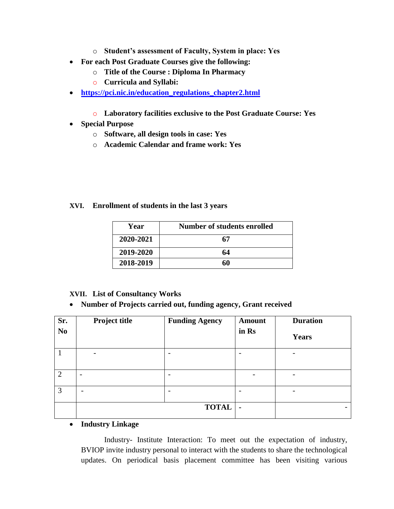- o **Student's assessment of Faculty, System in place: Yes**
- **For each Post Graduate Courses give the following:**
	- o **Title of the Course : Diploma In Pharmacy**
	- o **Curricula and Syllabi:**
- https://pci.nic.in/education regulations chapter2.html
	- o **Laboratory facilities exclusive to the Post Graduate Course: Yes**
- **Special Purpose**
	- o **Software, all design tools in case: Yes**
	- o **Academic Calendar and frame work: Yes**

#### **XVI. Enrollment of students in the last 3 years**

| Year      | Number of students enrolled |
|-----------|-----------------------------|
| 2020-2021 | 67                          |
| 2019-2020 | 64                          |
| 2018-2019 | 60                          |

#### **XVII. List of Consultancy Works**

#### **Number of Projects carried out, funding agency, Grant received**

| Sr.<br>N <sub>0</sub> | Project title            | <b>Funding Agency</b>    | <b>Amount</b><br>in Rs | <b>Duration</b><br><b>Years</b> |
|-----------------------|--------------------------|--------------------------|------------------------|---------------------------------|
|                       | $\qquad \qquad$          | -                        |                        | -                               |
| $\overline{2}$        | $\overline{\phantom{a}}$ |                          |                        | -                               |
| 3                     |                          | $\overline{\phantom{0}}$ |                        | $\overline{\phantom{0}}$        |
|                       |                          | <b>TOTAL</b>             | $\blacksquare$         | $\overline{\phantom{0}}$        |

#### **Industry Linkage**

Industry- Institute Interaction: To meet out the expectation of industry, BVIOP invite industry personal to interact with the students to share the technological updates. On periodical basis placement committee has been visiting various